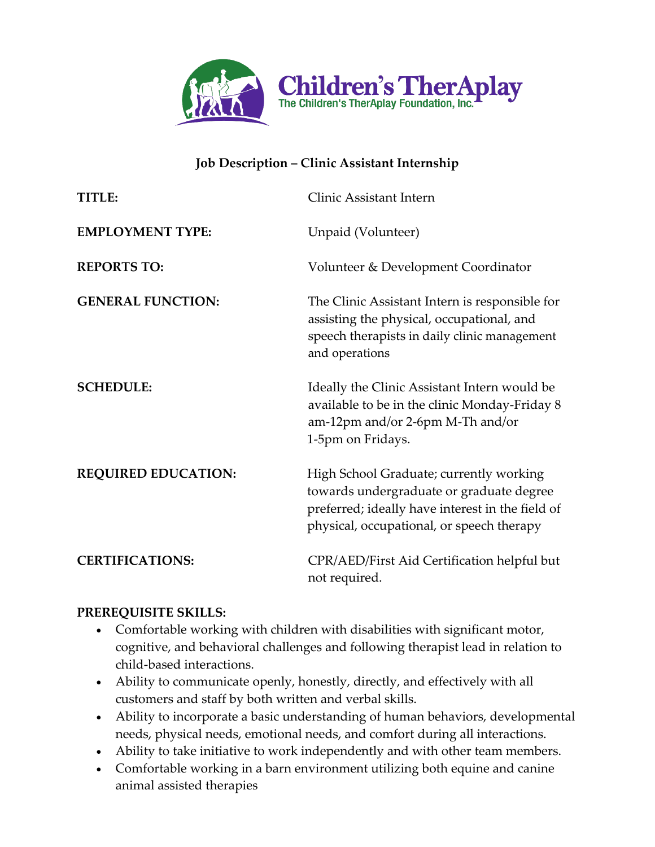

### **Job Description – Clinic Assistant Internship**

| TITLE:                     | Clinic Assistant Intern                                                                                                                                                              |
|----------------------------|--------------------------------------------------------------------------------------------------------------------------------------------------------------------------------------|
| <b>EMPLOYMENT TYPE:</b>    | Unpaid (Volunteer)                                                                                                                                                                   |
| <b>REPORTS TO:</b>         | Volunteer & Development Coordinator                                                                                                                                                  |
| <b>GENERAL FUNCTION:</b>   | The Clinic Assistant Intern is responsible for<br>assisting the physical, occupational, and<br>speech therapists in daily clinic management<br>and operations                        |
| <b>SCHEDULE:</b>           | Ideally the Clinic Assistant Intern would be<br>available to be in the clinic Monday-Friday 8<br>am-12pm and/or 2-6pm M-Th and/or<br>1-5pm on Fridays.                               |
| <b>REQUIRED EDUCATION:</b> | High School Graduate; currently working<br>towards undergraduate or graduate degree<br>preferred; ideally have interest in the field of<br>physical, occupational, or speech therapy |
| <b>CERTIFICATIONS:</b>     | CPR/AED/First Aid Certification helpful but<br>not required.                                                                                                                         |

#### **PREREQUISITE SKILLS:**

- Comfortable working with children with disabilities with significant motor, cognitive, and behavioral challenges and following therapist lead in relation to child-based interactions.
- Ability to communicate openly, honestly, directly, and effectively with all customers and staff by both written and verbal skills.
- Ability to incorporate a basic understanding of human behaviors, developmental needs, physical needs, emotional needs, and comfort during all interactions.
- Ability to take initiative to work independently and with other team members.
- Comfortable working in a barn environment utilizing both equine and canine animal assisted therapies